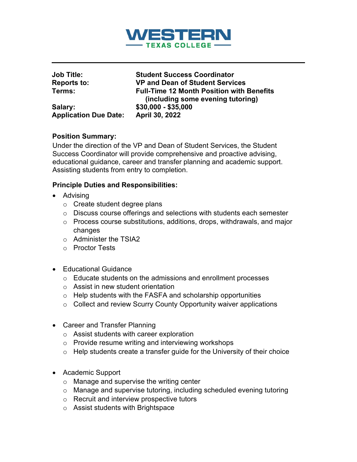

| <b>Job Title:</b>            | <b>Student Success Coordinator</b>                                                    |
|------------------------------|---------------------------------------------------------------------------------------|
| <b>Reports to:</b>           | <b>VP and Dean of Student Services</b>                                                |
| Terms:                       | <b>Full-Time 12 Month Position with Benefits</b><br>(including some evening tutoring) |
| Salary:                      | $$30,000 - $35,000$                                                                   |
| <b>Application Due Date:</b> | April 30, 2022                                                                        |

#### **Position Summary:**

Under the direction of the VP and Dean of Student Services, the Student Success Coordinator will provide comprehensive and proactive advising, educational guidance, career and transfer planning and academic support. Assisting students from entry to completion.

## **Principle Duties and Responsibilities:**

- Advising
	- o Create student degree plans
	- o Discuss course offerings and selections with students each semester
	- o Process course substitutions, additions, drops, withdrawals, and major changes
	- o Administer the TSIA2
	- o Proctor Tests
- Educational Guidance
	- o Educate students on the admissions and enrollment processes
	- o Assist in new student orientation
	- $\circ$  Help students with the FASFA and scholarship opportunities
	- o Collect and review Scurry County Opportunity waiver applications
- Career and Transfer Planning
	- o Assist students with career exploration
	- $\circ$  Provide resume writing and interviewing workshops
	- $\circ$  Help students create a transfer guide for the University of their choice
- Academic Support
	- o Manage and supervise the writing center
	- o Manage and supervise tutoring, including scheduled evening tutoring
	- o Recruit and interview prospective tutors
	- o Assist students with Brightspace